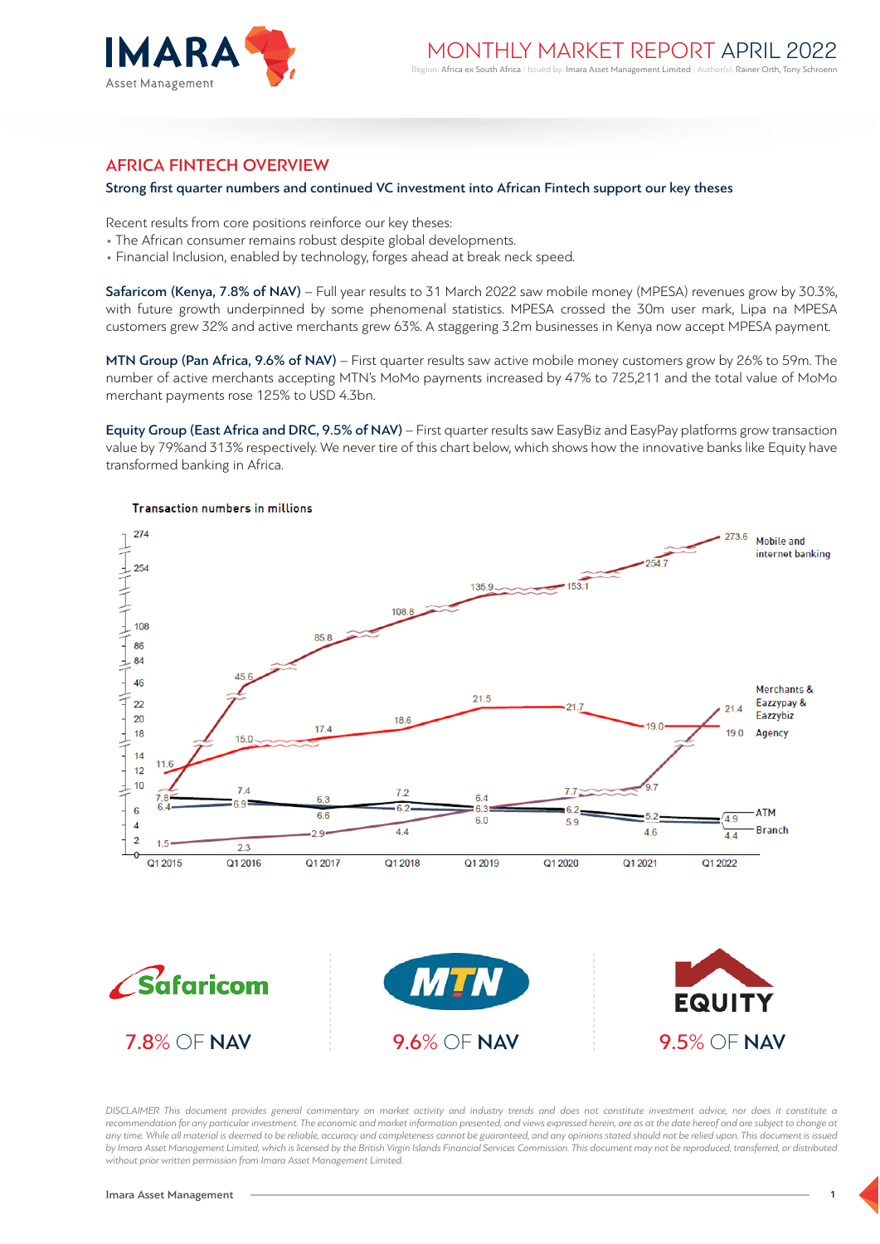

# AFRICA FINTECH OVERVIEW

#### Strong first quarter numbers and continued VC investment into African Fintech support our key theses

Recent results from core positions reinforce our key theses:

- The African consumer remains robust despite global developments.
- Financial Inclusion, enabled by technology, forges ahead at break neck speed.

Safaricom (Kenya, 7.8% of NAV) – Full year results to 31 March 2022 saw mobile money (MPESA) revenues grow by 30.3%, with future growth underpinned by some phenomenal statistics. MPESA crossed the 30m user mark, Lipa na MPESA customers grew 32% and active merchants grew 63%. A staggering 3.2m businesses in Kenya now accept MPESA payment.

MTN Group (Pan Africa, 9.6% of NAV) – First quarter results saw active mobile money customers grow by 26% to 59m. The number of active merchants accepting MTN's MoMo payments increased by 47% to 725,211 and the total value of MoMo merchant payments rose 125% to USD 4.3bn.

Equity Group (East Africa and DRC, 9.5% of NAV) – First quarter results saw EasyBiz and EasyPay platforms grow transaction value by 79%and 313% respectively. We never tire of this chart below, which shows how the innovative banks like Equity have transformed banking in Africa.



*DISCLAIMER This document provides general commentary on market activity and industry trends and does not constitute investment advice, nor does it constitute a* recommendation for any particular investment. The economic and market information presented, and views expressed herein, are as at the date hereof and are subject to change at any time. While all material is deemed to be reliable, accuracy and completeness cannot be guaranteed, and any opinions stated should not be relied upon. This document is issued *by Imara Asset Management Limited, which is licensed by the British Virgin Islands Financial Services Commission. This document may not be reproduced, transferred, or distributed without prior written permission from Imara Asset Management Limited.*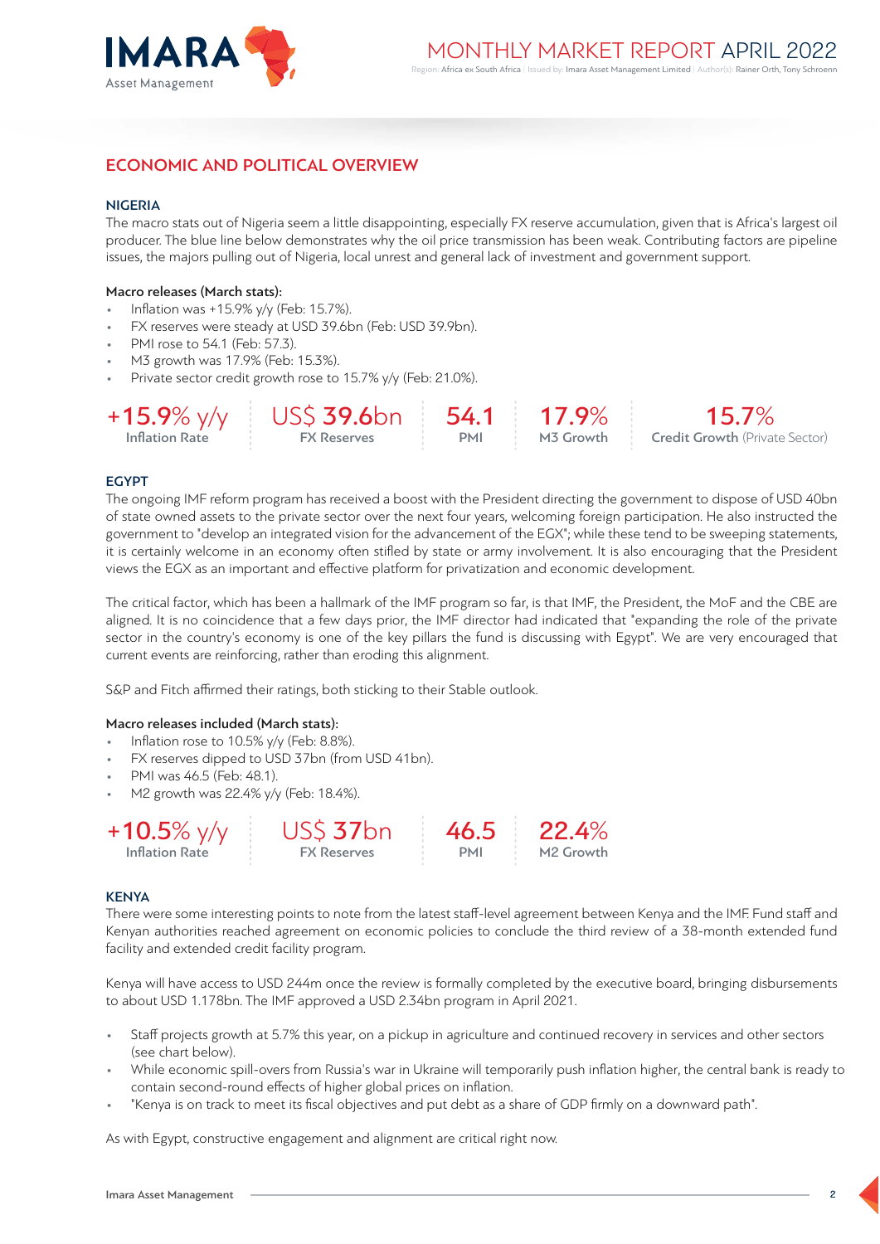

# ECONOMIC AND POLITICAL OVERVIEW

#### NIGERIA

The macro stats out of Nigeria seem a little disappointing, especially FX reserve accumulation, given that is Africa's largest oil producer. The blue line below demonstrates why the oil price transmission has been weak. Contributing factors are pipeline issues, the majors pulling out of Nigeria, local unrest and general lack of investment and government support.

#### Macro releases (March stats):

- Inflation was +15.9% y/y (Feb: 15.7%).
- FX reserves were steady at USD 39.6bn (Feb: USD 39.9bn).
- PMI rose to 54.1 (Feb: 57.3).
- M3 growth was 17.9% (Feb: 15.3%).
- Private sector credit growth rose to 15.7% y/y (Feb: 21.0%).

|                | $+15.9\%$ y/y US\$ 39.6bn 54.1 17.9% |  |  | $15.7\%$                                                   |
|----------------|--------------------------------------|--|--|------------------------------------------------------------|
| Inflation Rate | <b>EX Reserves</b>                   |  |  | <b>PMI</b> M3 Growth <b>Credit Growth</b> (Private Sector) |

## EGYPT

The ongoing IMF reform program has received a boost with the President directing the government to dispose of USD 40bn of state owned assets to the private sector over the next four years, welcoming foreign participation. He also instructed the government to "develop an integrated vision for the advancement of the EGX"; while these tend to be sweeping statements, it is certainly welcome in an economy often stifled by state or army involvement. It is also encouraging that the President views the EGX as an important and effective platform for privatization and economic development.

The critical factor, which has been a hallmark of the IMF program so far, is that IMF, the President, the MoF and the CBE are aligned. It is no coincidence that a few days prior, the IMF director had indicated that "expanding the role of the private sector in the country's economy is one of the key pillars the fund is discussing with Egypt". We are very encouraged that current events are reinforcing, rather than eroding this alignment.

S&P and Fitch affirmed their ratings, both sticking to their Stable outlook.

#### Macro releases included (March stats):

- Inflation rose to 10.5% y/y (Feb: 8.8%).
- FX reserves dipped to USD 37bn (from USD 41bn).
- PMI was 46.5 (Feb: 48.1).
- M2 growth was 22.4% y/y (Feb: 18.4%).



#### **KENYA**

There were some interesting points to note from the latest staff-level agreement between Kenya and the IMF. Fund staff and Kenyan authorities reached agreement on economic policies to conclude the third review of a 38-month extended fund facility and extended credit facility program.

Kenya will have access to USD 244m once the review is formally completed by the executive board, bringing disbursements to about USD 1.178bn. The IMF approved a USD 2.34bn program in April 2021.

- Staff projects growth at 5.7% this year, on a pickup in agriculture and continued recovery in services and other sectors (see chart below).
- While economic spill-overs from Russia's war in Ukraine will temporarily push inflation higher, the central bank is ready to contain second-round effects of higher global prices on inflation.
- "Kenya is on track to meet its fiscal objectives and put debt as a share of GDP firmly on a downward path".

As with Egypt, constructive engagement and alignment are critical right now.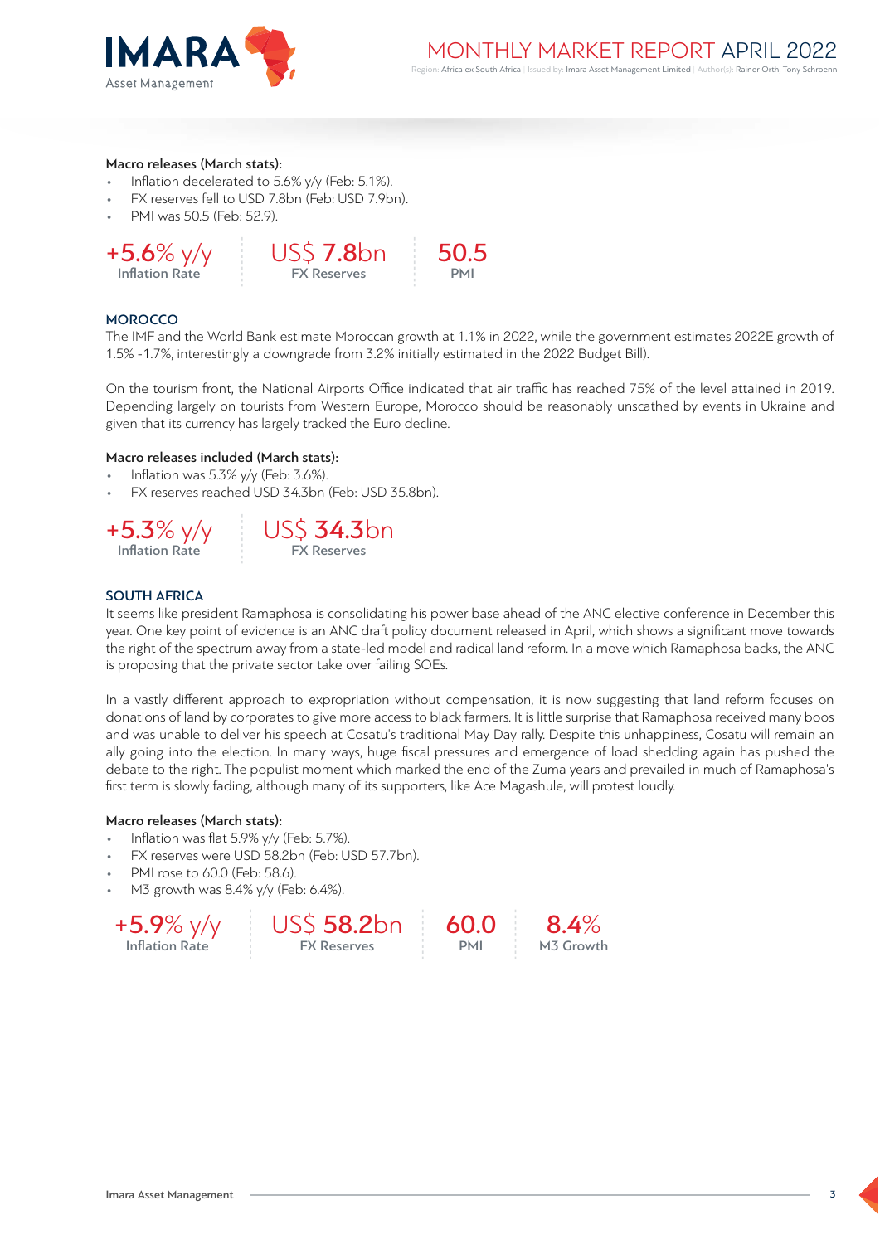

#### Macro releases (March stats):

- Inflation decelerated to 5.6% y/y (Feb: 5.1%).
- FX reserves fell to USD 7.8bn (Feb: USD 7.9bn).
- PMI was 50.5 (Feb: 52.9).



#### **MOROCCO**

The IMF and the World Bank estimate Moroccan growth at 1.1% in 2022, while the government estimates 2022E growth of 1.5% -1.7%, interestingly a downgrade from 3.2% initially estimated in the 2022 Budget Bill).

On the tourism front, the National Airports Office indicated that air traffic has reached 75% of the level attained in 2019. Depending largely on tourists from Western Europe, Morocco should be reasonably unscathed by events in Ukraine and given that its currency has largely tracked the Euro decline.

#### Macro releases included (March stats):

- Inflation was 5.3% y/y (Feb: 3.6%).
- FX reserves reached USD 34.3bn (Feb: USD 35.8bn).





# SOUTH AFRICA

It seems like president Ramaphosa is consolidating his power base ahead of the ANC elective conference in December this year. One key point of evidence is an ANC draft policy document released in April, which shows a significant move towards the right of the spectrum away from a state-led model and radical land reform. In a move which Ramaphosa backs, the ANC is proposing that the private sector take over failing SOEs.

In a vastly different approach to expropriation without compensation, it is now suggesting that land reform focuses on donations of land by corporates to give more access to black farmers. It is little surprise that Ramaphosa received many boos and was unable to deliver his speech at Cosatu's traditional May Day rally. Despite this unhappiness, Cosatu will remain an ally going into the election. In many ways, huge fiscal pressures and emergence of load shedding again has pushed the debate to the right. The populist moment which marked the end of the Zuma years and prevailed in much of Ramaphosa's first term is slowly fading, although many of its supporters, like Ace Magashule, will protest loudly.

> 60.0 PMI

#### Macro releases (March stats):

- Inflation was flat 5.9% y/y (Feb: 5.7%).
- FX reserves were USD 58.2bn (Feb: USD 57.7bn).
- PMI rose to 60.0 (Feb: 58.6).
- M3 growth was 8.4% y/y (Feb: 6.4%).



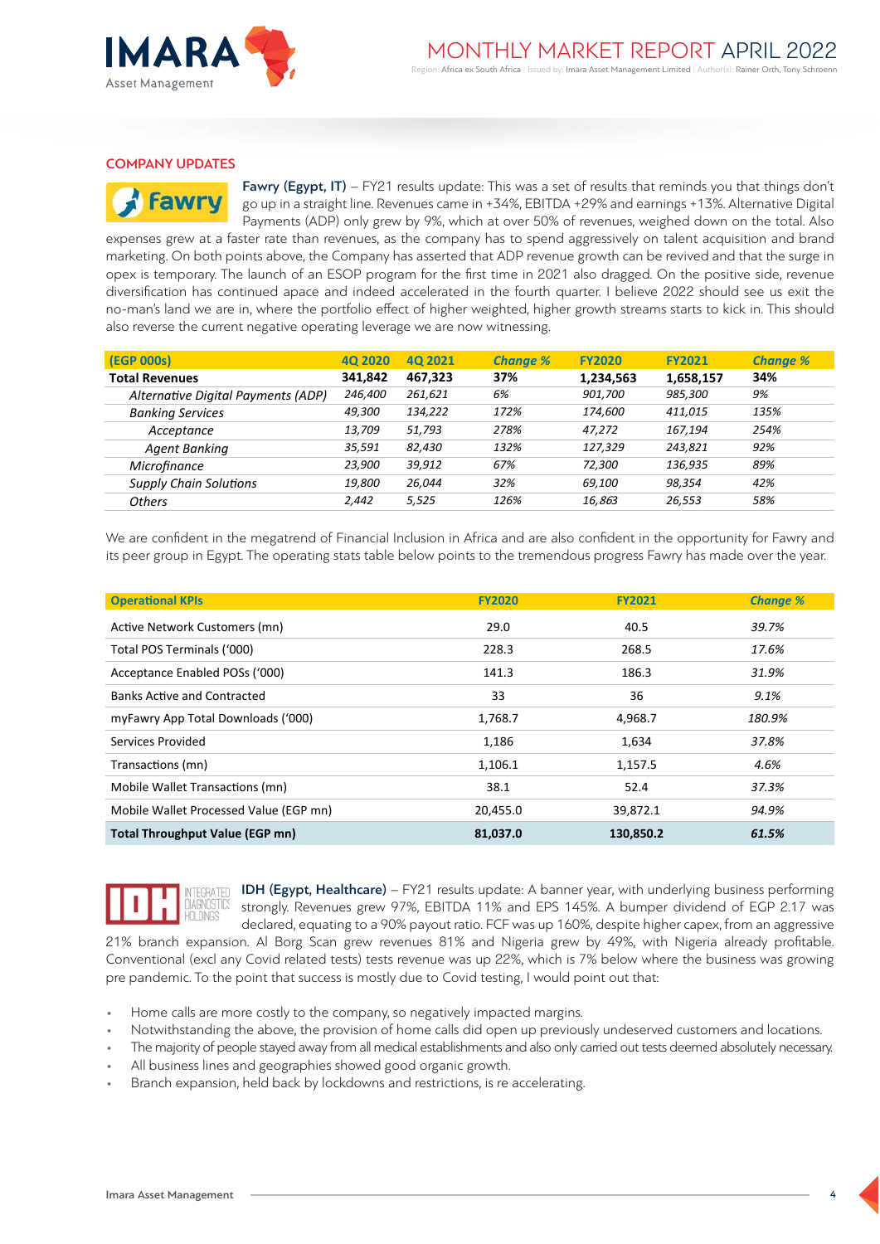

## COMPANY UPDATES

**Fawr** 

Fawry (Egypt, IT) – FY21 results update: This was a set of results that reminds you that things don't go up in a straight line. Revenues came in +34%, EBITDA +29% and earnings +13%. Alternative Digital Payments (ADP) only grew by 9%, which at over 50% of revenues, weighed down on the total. Also

expenses grew at a faster rate than revenues, as the company has to spend aggressively on talent acquisition and brand marketing. On both points above, the Company has asserted that ADP revenue growth can be revived and that the surge in opex is temporary. The launch of an ESOP program for the first time in 2021 also dragged. On the positive side, revenue diversification has continued apace and indeed accelerated in the fourth quarter. I believe 2022 should see us exit the no-man's land we are in, where the portfolio effect of higher weighted, higher growth streams starts to kick in. This should also reverse the current negative operating leverage we are now witnessing.

| (EGP 000s)                         | 40 2020 | 40 2021 | <b>Change %</b> | <b>FY2020</b> | <b>FY2021</b> | <b>Change %</b> |
|------------------------------------|---------|---------|-----------------|---------------|---------------|-----------------|
| <b>Total Revenues</b>              | 341,842 | 467.323 | 37%             | 1,234,563     | 1,658,157     | 34%             |
| Alternative Digital Payments (ADP) | 246,400 | 261,621 | 6%              | 901,700       | 985,300       | 9%              |
| <b>Banking Services</b>            | 49,300  | 134,222 | 172%            | 174.600       | 411.015       | 135%            |
| Acceptance                         | 13,709  | 51,793  | 278%            | 47.272        | 167.194       | 254%            |
| Agent Banking                      | 35,591  | 82,430  | 132%            | 127.329       | 243.821       | 92%             |
| Microfinance                       | 23,900  | 39,912  | 67%             | 72,300        | 136,935       | 89%             |
| <b>Supply Chain Solutions</b>      | 19,800  | 26,044  | 32%             | 69.100        | 98,354        | 42%             |
| <b>Others</b>                      | 2.442   | 5,525   | 126%            | 16,863        | 26,553        | 58%             |

We are confident in the megatrend of Financial Inclusion in Africa and are also confident in the opportunity for Fawry and its peer group in Egypt. The operating stats table below points to the tremendous progress Fawry has made over the year.

| <b>Operational KPIs</b>                | <b>FY2020</b> | <b>FY2021</b> | <b>Change %</b> |
|----------------------------------------|---------------|---------------|-----------------|
| Active Network Customers (mn)          | 29.0          | 40.5          | 39.7%           |
| Total POS Terminals ('000)             | 228.3         | 268.5         | 17.6%           |
| Acceptance Enabled POSs ('000)         | 141.3         | 186.3         | 31.9%           |
| Banks Active and Contracted            | 33            | 36            | 9.1%            |
| myFawry App Total Downloads ('000)     | 1,768.7       | 4,968.7       | 180.9%          |
| Services Provided                      | 1,186         | 1,634         | 37.8%           |
| Transactions (mn)                      | 1,106.1       | 1,157.5       | 4.6%            |
| Mobile Wallet Transactions (mn)        | 38.1          | 52.4          | 37.3%           |
| Mobile Wallet Processed Value (EGP mn) | 20,455.0      | 39,872.1      | 94.9%           |
| <b>Total Throughput Value (EGP mn)</b> | 81,037.0      | 130,850.2     | 61.5%           |



TEGRATED **IDH (Egypt, Healthcare)** – FY21 results update: A banner year, with underlying business performing strongly. Revenues grew 97%, EBITDA 11% and EPS 145%. A bumper dividend of EGP 2.17 was declared, equating to a 90% payout ratio. FCF was up 160%, despite higher capex, from an aggressive

21% branch expansion. Al Borg Scan grew revenues 81% and Nigeria grew by 49%, with Nigeria already profitable. Conventional (excl any Covid related tests) tests revenue was up 22%, which is 7% below where the business was growing pre pandemic. To the point that success is mostly due to Covid testing, I would point out that:

- Home calls are more costly to the company, so negatively impacted margins.
- Notwithstanding the above, the provision of home calls did open up previously undeserved customers and locations.
- The majority of people stayed away from all medical establishments and also only carried out tests deemed absolutely necessary.
- All business lines and geographies showed good organic growth.
- Branch expansion, held back by lockdowns and restrictions, is re accelerating.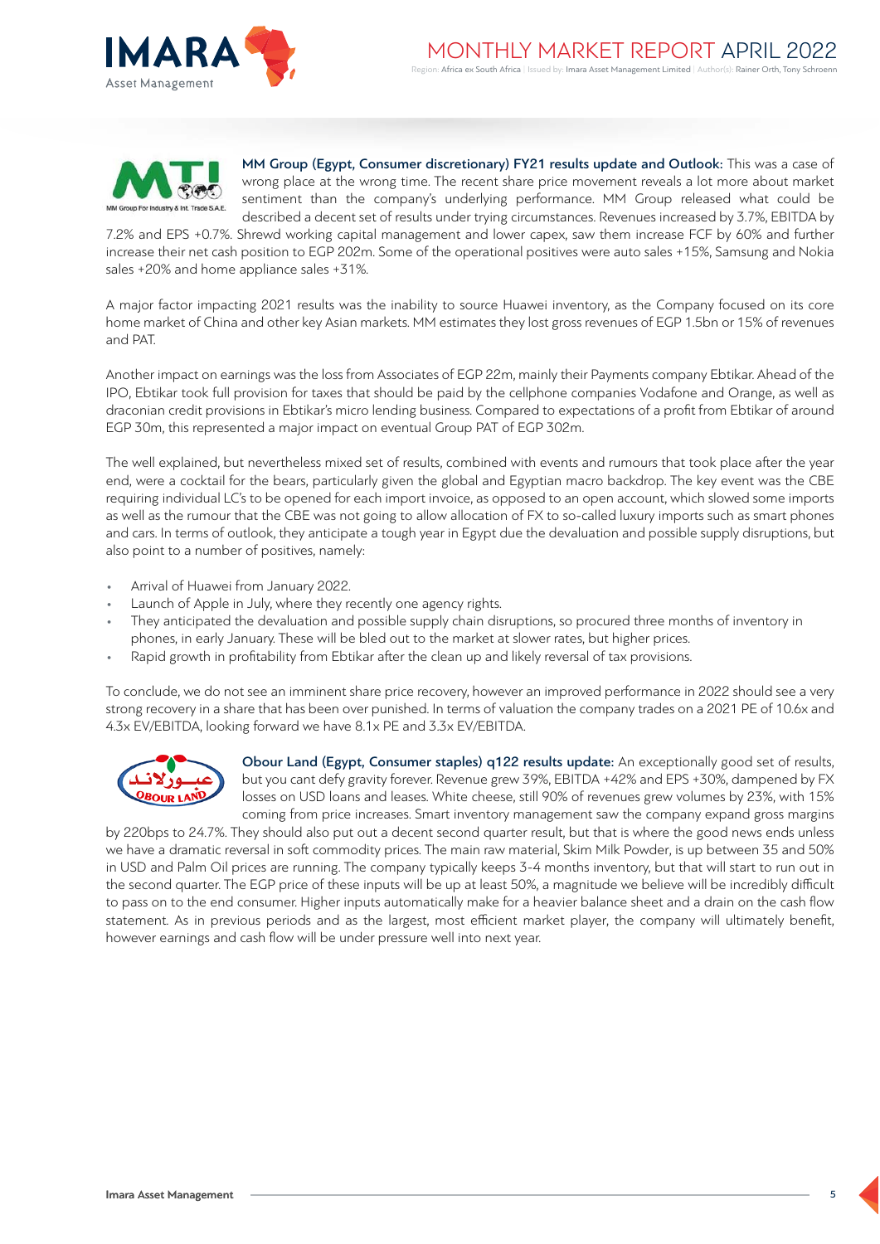



MM Group (Egypt, Consumer discretionary) FY21 results update and Outlook: This was a case of wrong place at the wrong time. The recent share price movement reveals a lot more about market sentiment than the company's underlying performance. MM Group released what could be described a decent set of results under trying circumstances. Revenues increased by 3.7%, EBITDA by

7.2% and EPS +0.7%. Shrewd working capital management and lower capex, saw them increase FCF by 60% and further increase their net cash position to EGP 202m. Some of the operational positives were auto sales +15%, Samsung and Nokia sales +20% and home appliance sales +31%.

A major factor impacting 2021 results was the inability to source Huawei inventory, as the Company focused on its core home market of China and other key Asian markets. MM estimates they lost gross revenues of EGP 1.5bn or 15% of revenues and PAT.

Another impact on earnings was the loss from Associates of EGP 22m, mainly their Payments company Ebtikar. Ahead of the IPO, Ebtikar took full provision for taxes that should be paid by the cellphone companies Vodafone and Orange, as well as draconian credit provisions in Ebtikar's micro lending business. Compared to expectations of a profit from Ebtikar of around EGP 30m, this represented a major impact on eventual Group PAT of EGP 302m.

The well explained, but nevertheless mixed set of results, combined with events and rumours that took place after the year end, were a cocktail for the bears, particularly given the global and Egyptian macro backdrop. The key event was the CBE requiring individual LC's to be opened for each import invoice, as opposed to an open account, which slowed some imports as well as the rumour that the CBE was not going to allow allocation of FX to so-called luxury imports such as smart phones and cars. In terms of outlook, they anticipate a tough year in Egypt due the devaluation and possible supply disruptions, but also point to a number of positives, namely:

- Arrival of Huawei from January 2022.
- Launch of Apple in July, where they recently one agency rights.
- They anticipated the devaluation and possible supply chain disruptions, so procured three months of inventory in phones, in early January. These will be bled out to the market at slower rates, but higher prices.
- Rapid growth in profitability from Ebtikar after the clean up and likely reversal of tax provisions.

To conclude, we do not see an imminent share price recovery, however an improved performance in 2022 should see a very strong recovery in a share that has been over punished. In terms of valuation the company trades on a 2021 PE of 10.6x and 4.3x EV/EBITDA, looking forward we have 8.1x PE and 3.3x EV/EBITDA.



Obour Land (Egypt, Consumer staples) q122 results update: An exceptionally good set of results, but you cant defy gravity forever. Revenue grew 39%, EBITDA +42% and EPS +30%, dampened by FX losses on USD loans and leases. White cheese, still 90% of revenues grew volumes by 23%, with 15% coming from price increases. Smart inventory management saw the company expand gross margins

by 220bps to 24.7%. They should also put out a decent second quarter result, but that is where the good news ends unless we have a dramatic reversal in soft commodity prices. The main raw material, Skim Milk Powder, is up between 35 and 50% in USD and Palm Oil prices are running. The company typically keeps 3-4 months inventory, but that will start to run out in the second quarter. The EGP price of these inputs will be up at least 50%, a magnitude we believe will be incredibly difficult to pass on to the end consumer. Higher inputs automatically make for a heavier balance sheet and a drain on the cash flow statement. As in previous periods and as the largest, most efficient market player, the company will ultimately benefit, however earnings and cash flow will be under pressure well into next year.